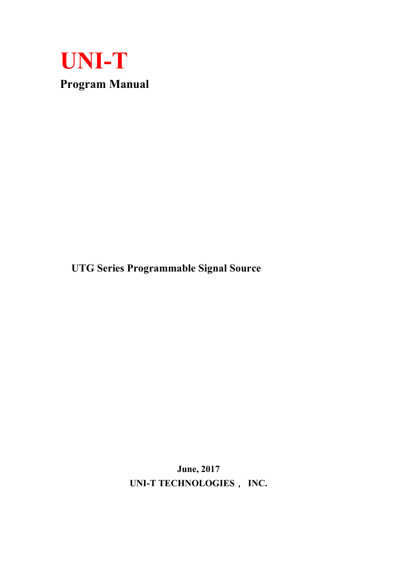

UTG Series Programmable Signal Source

June, 2017 UNI-T TECHNOLOGIES, INC.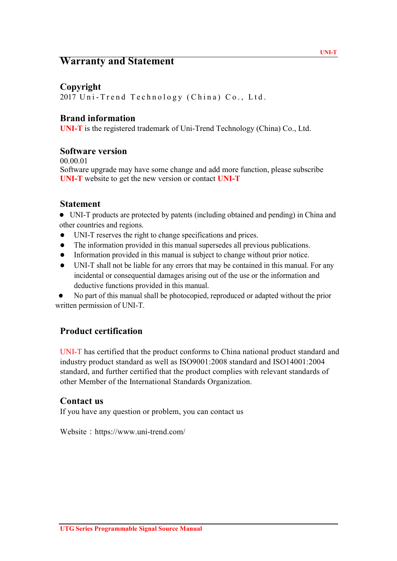# Warranty and Statement

# Copyright

2017 Uni-Trend Technology (China) Co., Ltd.

# Brand information

UNI-T is the registered trademark of Uni-Trend Technology (China) Co., Ltd.

# Software version

00.00.01

Software upgrade may have some change and add more function, please subscribe UNI-T website to get the new version or contact UNI-T

# Statement

 UNI-T products are protected by patents (including obtained and pending) in China and other countries and regions.

- UNI-T reserves the right to change specifications and prices.
- The information provided in this manual supersedes all previous publications.
- Information provided in this manual is subject to change without prior notice.
- UNI-T shall not be liable for any errors that may be contained in this manual. For any incidental or consequential damages arising out of the use or the information and deductive functions provided in this manual.

 No part of this manual shall be photocopied, reproduced or adapted without the prior written permission of UNI-T.

# Product certification

UNI-T has certified that the product conforms to China national product standard and industry product standard as well as ISO9001:2008 standard and ISO14001:2004 standard, and further certified that the product complies with relevant standards of other Member of the International Standards Organization.

# Contact us

If you have any question or problem, you can contact us

Website: https://www.uni-trend.com/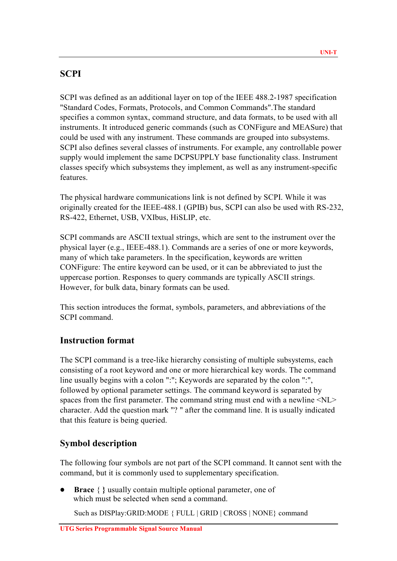# SCPI

SCPI was defined as an additional layer on top of the IEEE 488.2-1987 specification "Standard Codes, Formats, Protocols, and Common Commands".The standard specifies a common syntax, command structure, and data formats, to be used with all instruments. It introduced generic commands (such as CONFigure and MEASure) that could be used with any instrument. These commands are grouped into subsystems. SCPI also defines several classes of instruments. For example, any controllable power supply would implement the same DCPSUPPLY base functionality class. Instrument classes specify which subsystems they implement, as well as any instrument-specific features.

The physical hardware communications link is not defined by SCPI. While it was originally created for the IEEE-488.1 (GPIB) bus, SCPI can also be used with RS-232, RS-422, Ethernet, USB, VXIbus, HiSLIP, etc.

SCPI commands are ASCII textual strings, which are sent to the instrument over the physical layer (e.g., IEEE-488.1). Commands are a series of one or more keywords, many of which take parameters. In the specification, keywords are written CONFigure: The entire keyword can be used, or it can be abbreviated to just the uppercase portion. Responses to query commands are typically ASCII strings. However, for bulk data, binary formats can be used.

This section introduces the format, symbols, parameters, and abbreviations of the SCPI command.

# Instruction format

The SCPI command is a tree-like hierarchy consisting of multiple subsystems, each consisting of a root keyword and one or more hierarchical key words. The command line usually begins with a colon ":"; Keywords are separated by the colon ":", followed by optional parameter settings. The command keyword is separated by spaces from the first parameter. The command string must end with a newline  $\langle NL \rangle$ character. Add the question mark "? " after the command line. It is usually indicated that this feature is being queried.

# Symbol description

The following four symbols are not part of the SCPI command. It cannot sent with the command, but it is commonly used to supplementary specification.

**Brace** { } usually contain multiple optional parameter, one of which must be selected when send a command.

Such as DISPlay:GRID:MODE { FULL | GRID | CROSS | NONE} command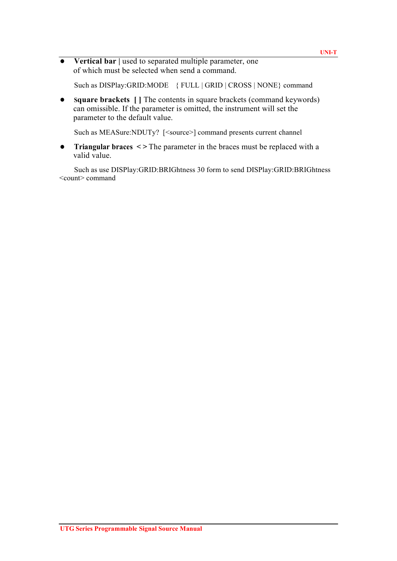**•** Vertical bar | used to separated multiple parameter, one of which must be selected when send a command.

Such as DISPlay:GRID:MODE { FULL | GRID | CROSS | NONE} command

• Square brackets [ ] The contents in square brackets (command keywords) can omissible. If the parameter is omitted, the instrument will set the parameter to the default value.

Such as MEASure:NDUTy? [<source>] command presents current channel

• Triangular braces  $\le$  The parameter in the braces must be replaced with a valid value.

Such as use DISPlay:GRID:BRIGhtness 30 form to send DISPlay:GRID:BRIGhtness <count> command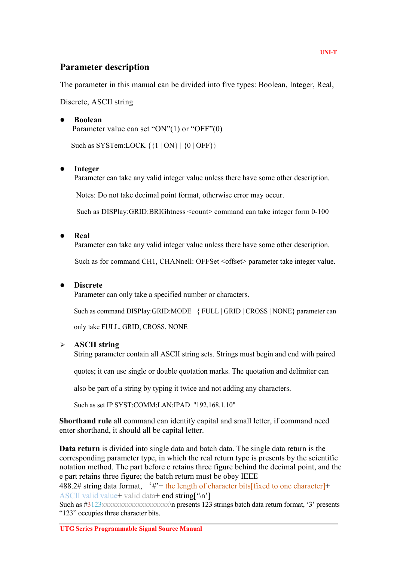# Parameter description

The parameter in this manual can be divided into five types: Boolean, Integer, Real,

Discrete, ASCII string

# Boolean

Parameter value can set "ON"(1) or "OFF"(0)

Such as SYSTem:LOCK  $\{ \{1 | ON\} | \{0 | OFF\} \}$ 

# **•** Integer

Parameter can take any valid integer value unless there have some other description.

Notes: Do not take decimal point format, otherwise error may occur.

Such as DISPlay:GRID:BRIGhtness <count> command can take integer form 0-100

# • Real

Parameter can take any valid integer value unless there have some other description.

Such as for command CH1, CHANnell: OFFSet <offset> parameter take integer value.

# **•** Discrete

Parameter can only take a specified number or characters.

Such as command DISPlay:GRID:MODE { FULL | GRID | CROSS | NONE} parameter can

only take FULL, GRID, CROSS, NONE

# $\triangleright$  ASCII string

String parameter contain all ASCII string sets. Strings must begin and end with paired

quotes; it can use single or double quotation marks. The quotation and delimiter can

also be part of a string by typing it twice and not adding any characters.

Such as set IP SYST:COMM:LAN:IPAD "192.168.1.10"

Shorthand rule all command can identify capital and small letter, if command need enter shorthand, it should all be capital letter.

Data return is divided into single data and batch data. The single data return is the corresponding parameter type, in which the real return type is presents by the scientific notation method. The part before e retains three figure behind the decimal point, and the e part retains three figure; the batch return must be obey IEEE

488.2# string data format, '#'+ the length of character bits[fixed to one character]+ ASCII valid value + valid data + end string  $\lceil \cdot \cdot \rceil$ 

Such as #3123xxxxxxxxxxxxxxxxxxxxx\n presents 123 strings batch data return format, '3' presents "123" occupies three character bits.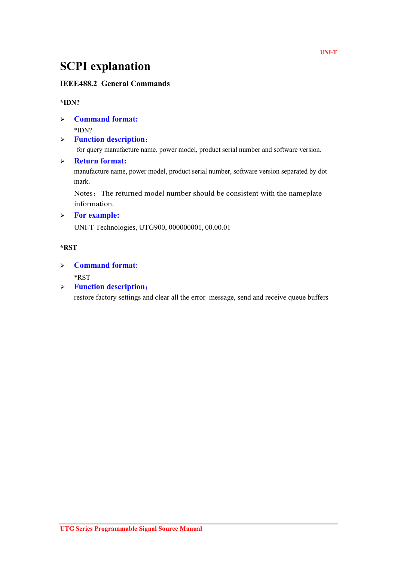# SCPI explanation

# IEEE488.2 General Commands

\*IDN?

 Command format: \*IDN?

> Function description:

for query manufacture name, power model, product serial number and software version.

# Return format:

manufacture name, power model, product serial number, software version separated by dot mark.

Notes: The returned model number should be consistent with the nameplate information.

# $\triangleright$  For example:

UNI-T Technologies, UTG900, 000000001, 00.00.01

# \*RST

# Command format:

\*RST

Function description:

restore factory settings and clear all the error message, send and receive queue buffers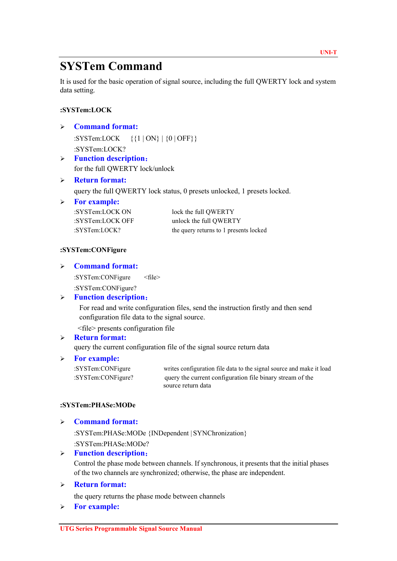#### UNI-T

# SYSTem Command

It is used for the basic operation of signal source, including the full QWERTY lock and system data setting.

# :SYSTem:LOCK

- Command format: :SYSTem:LOCK {{1 | ON} | {0 | OFF}} :SYSTem:LOCK? > Function description: for the full QWERTY lock/unlock
- $\triangleright$  Return format:

query the full QWERTY lock status, 0 presets unlocked, 1 presets locked.

 $\triangleright$  For example:

| :SYSTem:LOCK ON  | lock the full QWERTY                   |
|------------------|----------------------------------------|
| :SYSTem:LOCK OFF | unlock the full QWERTY                 |
| :SYSTem:LOCK?    | the query returns to 1 presents locked |

## :SYSTem:CONFigure

#### Command format:

:SYSTem:CONFigure <file> :SYSTem:CONFigure?

## > Function description:

For read and write configuration files, send the instruction firstly and then send configuration file data to the signal source.

<file> presents configuration file

# Return format:

query the current configuration file of the signal source return data

#### For example:

:SYSTem:CONFigure writes configuration file data to the signal source and make it load :SYSTem:CONFigure? query the current configuration file binary stream of the source return data

## :SYSTem:PHASe:MODe

## Command format:

:SYSTem:PHASe:MODe {INDependent | SYNChronization} :SYSTem:PHASe:MODe?

# > Function description:

Control the phase mode between channels. If synchronous, it presents that the initial phases of the two channels are synchronized; otherwise, the phase are independent.

# Return format:

the query returns the phase mode between channels

> For example: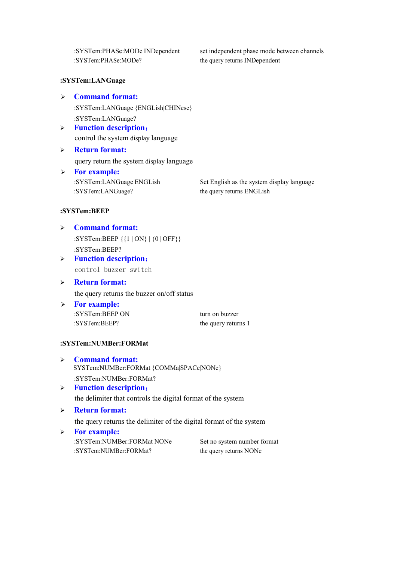:SYSTem:PHASe:MODe? the query returns INDependent

:SYSTem:PHASe:MODe INDependent set independent phase mode between channels

#### :SYSTem:LANGuage

 Command format: :SYSTem:LANGuage {ENGLish|CHINese} :SYSTem:LANGuage?

> Function description: control the system display language

# $\triangleright$  Return format:

query return the system display language

 For example: :SYSTem:LANGuage? the query returns ENGLish

:SYSTem:LANGuage ENGLish Set English as the system display language

# :SYSTem:BEEP

# Command format: :SYSTem:BEEP {{1 | ON} | {0 | OFF}} :SYSTem:BEEP?

# > Function description: control buzzer switch

# $\triangleright$  Return format: the query returns the buzzer on/off status

 For example: :SYSTem:BEEP ON turn on buzzer :SYSTem:BEEP? the query returns 1

## :SYSTem:NUMBer:FORMat

# Command format: SYSTem:NUMBer:FORMat {COMMa|SPACe|NONe} :SYSTem:NUMBer:FORMat?

# > Function description: the delimiter that controls the digital format of the system

## Return format:

the query returns the delimiter of the digital format of the system

## > For example:

| :SYSTem:NUMBer:FORMat NONe | Set no system number format |
|----------------------------|-----------------------------|
| :SYSTem:NUMBer:FORMat?     | the query returns NONe      |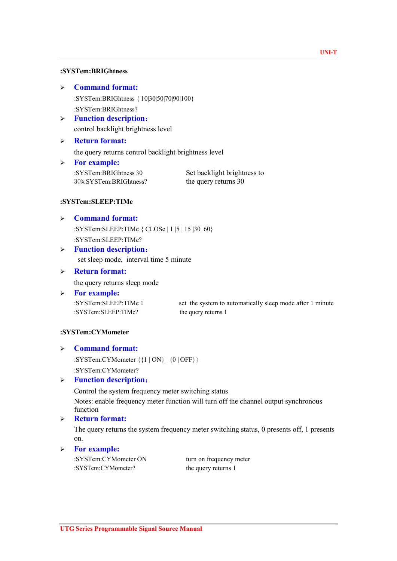# :SYSTem:BRIGhtness

- $\triangleright$  Command format: :SYSTem:BRIGhtness { 10|30|50|70|90|100} :SYSTem:BRIGhtness?
- > Function description: control backlight brightness level
- Return format: the query returns control backlight brightness level
- $\triangleright$  For example: :SYSTem:BRIGhtness 30 Set backlight brightness to

30%:SYSTem:BRIGhtness? the query returns 30

# :SYSTem:SLEEP:TIMe

- Command format: :SYSTem:SLEEP:TIMe { CLOSe | 1 |5 | 15 |30 |60}
	- :SYSTem:SLEEP:TIMe?
- > Function description: set sleep mode, interval time 5 minute
- Return format:

the query returns sleep mode

 $\triangleright$  For example: :SYSTem:SLEEP:TIMe? the query returns 1

:SYSTem:SLEEP:TIMe 1 set the system to automatically sleep mode after 1 minute

#### :SYSTem:CYMometer

#### $\triangleright$  Command format:

:SYSTem:CYMometer {{1 | ON} | {0 | OFF}}

:SYSTem:CYMometer?

# $\triangleright$  Function description:

Control the system frequency meter switching status Notes: enable frequency meter function will turn off the channel output synchronous function

 $\triangleright$  Return format:

The query returns the system frequency meter switching status, 0 presents off, 1 presents on.

 $\triangleright$  For example:

```
:SYSTem:CYMometer ON turn on frequency meter
:SYSTem:CYMometer? the query returns 1
```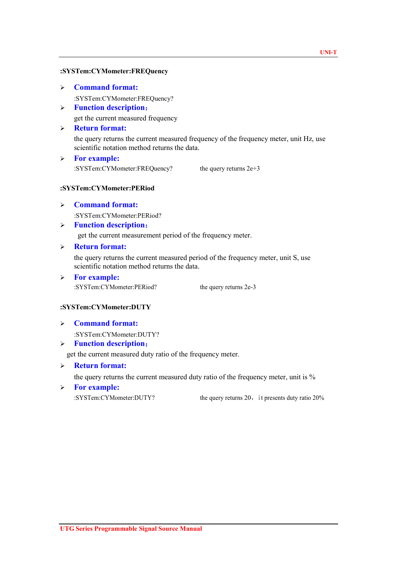#### :SYSTem:CYMometer:FREQuency

Command format:

:SYSTem:CYMometer:FREQuency?

- > Function description: get the current measured frequency
- $\triangleright$  Return format:

the query returns the current measured frequency of the frequency meter, unit Hz, use scientific notation method returns the data.

 $\triangleright$  For example:

:SYSTem:CYMometer:FREQuency? the query returns 2e+3

## :SYSTem:CYMometer:PERiod

Command format:

:SYSTem:CYMometer:PERiod?

> Function description:

get the current measurement period of the frequency meter.

 $\triangleright$  Return format:

the query returns the current measured period of the frequency meter, unit S, use scientific notation method returns the data.

 $\triangleright$  For example: :SYSTem:CYMometer:PERiod? the query returns 2e-3

#### :SYSTem:CYMometer:DUTY

 $\triangleright$  Command format:

:SYSTem:CYMometer:DUTY?

> Function description:

get the current measured duty ratio of the frequency meter.

Return format:

the query returns the current measured duty ratio of the frequency meter, unit is %

 $\triangleright$  For example:

:SYSTem:CYMometer:DUTY? the query returns 20, it presents duty ratio 20%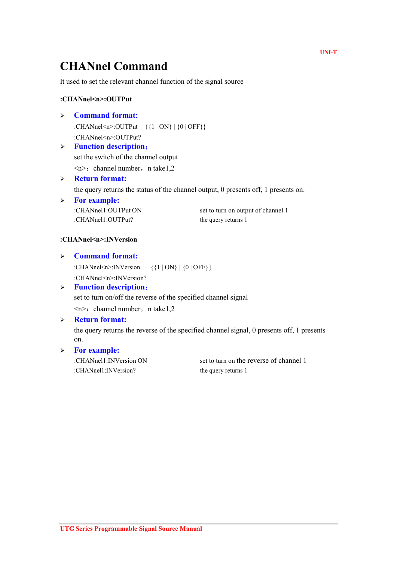# CHANnel Command

It used to set the relevant channel function of the signal source

# :CHANnel<n>:OUTPut

# Command format:

:CHANnel<n>:OUTPut {{1 | ON} | {0 | OFF}}

:CHANnel<n>:OUTPut?

# > Function description:

set the switch of the channel output

 $\langle n \rangle$ : channel number, n take 1,2

Return format:

the query returns the status of the channel output, 0 presents off, 1 presents on.

| $\triangleright$ For example: |                                    |
|-------------------------------|------------------------------------|
| :CHANnel1:OUTPut ON           | set to turn on output of channel 1 |
| :CHANnel1:OUTPut?             | the query returns 1                |

# :CHANnel<n>:INVersion

 Command format: :CHANnel<n>:INVersion  $\{\{1 | ON\} | \{0 | OFF\}\}\$ 

# :CHANnel<n>:INVersion?

# > Function description:

set to turn on/off the reverse of the specified channel signal

 $\langle n \rangle$ : channel number, n take 1,2

# $\triangleright$  Return format:

the query returns the reverse of the specified channel signal, 0 presents off, 1 presents on.

# > For example:

:CHANnel1:INVersion? the query returns 1

:CHANnel1:INVersion ON set to turn on the reverse of channel 1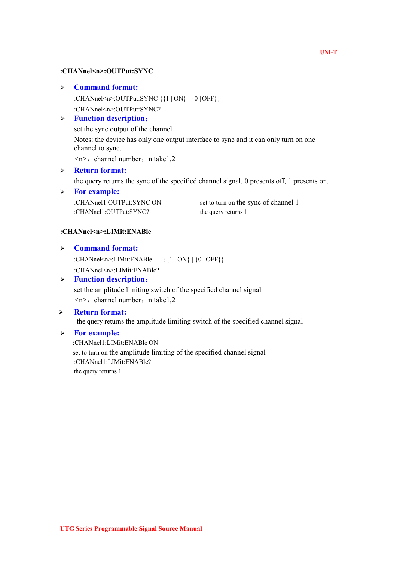#### :CHANnel<n>:OUTPut:SYNC

#### Command format:

:CHANnel<n>:OUTPut:SYNC {{1 | ON} | {0 | OFF}}

:CHANnel<n>:OUTPut:SYNC?

# > Function description:

set the sync output of the channel Notes: the device has only one output interface to sync and it can only turn on one channel to sync.

 $\langle n \rangle$ : channel number, n take 1,2

## $\triangleright$  Return format:

the query returns the sync of the specified channel signal, 0 presents off, 1 presents on.

## For example:

:CHANnel1:OUTPut:SYNC? the query returns 1

:CHANnel1:OUTPut:SYNC ON set to turn on the sync of channel 1

## :CHANnel<n>:LIMit:ENABle

# $\triangleright$  Command format:

:CHANnel<n>:LIMit:ENABle {{1 | ON} | {0 | OFF}} :CHANnel<n>:LIMit:ENABle?

# > Function description:

set the amplitude limiting switch of the specified channel signal  $\langle n \rangle$ : channel number, n take 1,2

## Return format:

the query returns the amplitude limiting switch of the specified channel signal

# > For example:

:CHANnel1:LIMit:ENABle ON set to turn on the amplitude limiting of the specified channel signal :CHANnel1:LIMit:ENABle? the query returns 1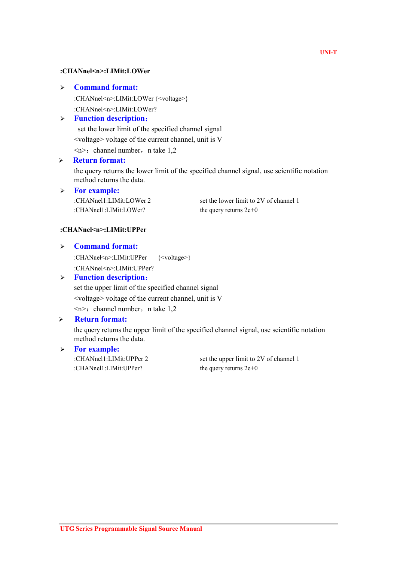#### :CHANnel<n>:LIMit:LOWer

# $\triangleright$  Command format:

:CHANnel<n>:LIMit:LOWer {<voltage>} :CHANnel<n>:LIMit:LOWer?

# > Function description:

set the lower limit of the specified channel signal <voltage> voltage of the current channel, unit is V

 $\langle n \rangle$ : channel number, n take 1,2

# Return format:

the query returns the lower limit of the specified channel signal, use scientific notation method returns the data.

# $\triangleright$  For example:

:CHANnel1:LIMit:LOWer? the query returns  $2e+0$ 

:CHANnel1:LIMit:LOWer 2 set the lower limit to 2V of channel 1

# :CHANnel<n>:LIMit:UPPer

# $\triangleright$  Command format:

:CHANnel<n>:LIMit:UPPer {<voltage>} :CHANnel<n>:LIMit:UPPer?

# $\triangleright$  Function description:

set the upper limit of the specified channel signal  $\le$ voltage $>$ voltage of the current channel, unit is V

 $\leq n$ : channel number, n take 1,2

# Return format:

the query returns the upper limit of the specified channel signal, use scientific notation method returns the data.

## > For example:

: $CHANnel1: LIMit:UPPer?$  the query returns  $2e+0$ 

:CHANnel1:LIMit:UPPer 2 set the upper limit to 2V of channel 1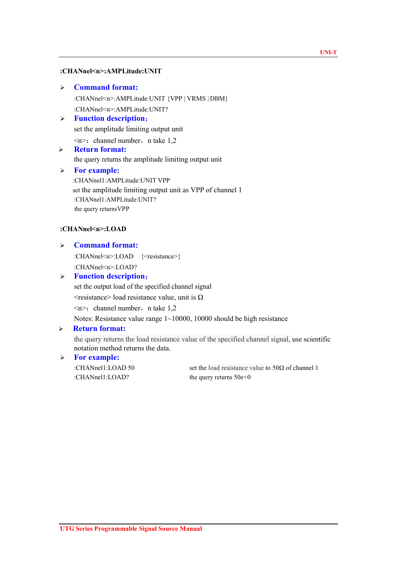#### :CHANnel<n>:AMPLitude:UNIT

# $\triangleright$  Command format:

:CHANnel<n>:AMPLitude:UNIT {VPP | VRMS | DBM} :CHANnel<n>:AMPLitude:UNIT?

# > Function description:

set the amplitude limiting output unit

 $\leq n$ : channel number, n take 1,2

# $\triangleright$  Return format: the query returns the amplitude limiting output unit

# > For example:

:CHANnel1:AMPLitude:UNIT VPP set the amplitude limiting output unit as VPP of channel 1 :CHANnel1:AMPLitude:UNIT? the query returns VPP

# :CHANnel<n>:LOAD

# Command format:

:CHANnel<n>:LOAD {<resistance>}

:CHANnel<n>:LOAD?

# $\triangleright$  Function description:

set the output load of the specified channel signal

 $\leq$ resistance load resistance value, unit is  $\Omega$ 

 $\langle n \rangle$ : channel number, n take 1,2

Notes: Resistance value range 1~10000, 10000 should be high resistance

# Return format:

the query returns the load resistance value of the specified channel signal, use scientific notation method returns the data.

# > For example:

:CHANnel1:LOAD? the query returns  $50e+0$ 

:CHANnel1:LOAD 50 set the load resistance value to  $50\Omega$  of channel 1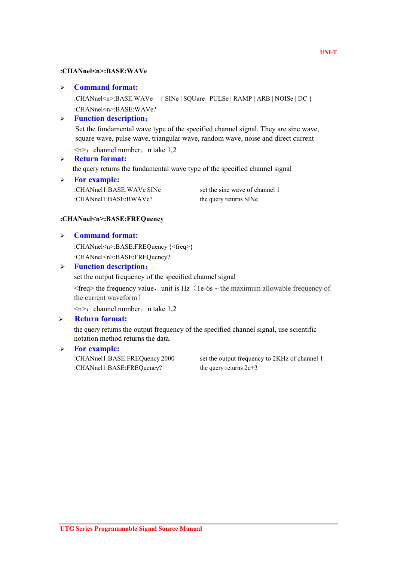#### :CHANnel<n>:BASE:WAVe

# Command format:

:CHANnel<n>:BASE:WAVe { SINe | SQUare | PULSe | RAMP | ARB | NOISe | DC } :CHANnel<n>:BASE:WAVe?

## > Function description:

Set the fundamental wave type of the specified channel signal. They are sine wave, square wave, pulse wave, triangular wave, random wave, noise and direct current

 $\langle n \rangle$ : channel number, n take 1,2

## $\triangleright$  Return format:

the query returns the fundamental wave type of the specified channel signal

#### > For example:

| :CHANnel1:BASE:WAVe SINe | set the sine wave of channel 1 |
|--------------------------|--------------------------------|
| :CHANnel1:BASE:BWAVe?    | the query returns SINe         |

#### :CHANnel<n>:BASE:FREQuency

## Command format:

:CHANnel<n>:BASE:FREQuency {<freq>} :CHANnel<n>:BASE:FREQuency?

# > Function description:

set the output frequency of the specified channel signal

 $\langle$  freq $\rangle$  the frequency value, unit is Hz (1e-6s  $\sim$  the maximum allowable frequency of the current waveform)

 $\langle n \rangle$ : channel number, n take 1,2

# Return format:

the query returns the output frequency of the specified channel signal, use scientific notation method returns the data.

#### $\triangleright$  For example:

:CHANnel1:BASE:FREQuency? the query returns  $2e+3$ 

:CHANnel1:BASE:FREQuency 2000 set the output frequency to 2KHz of channel 1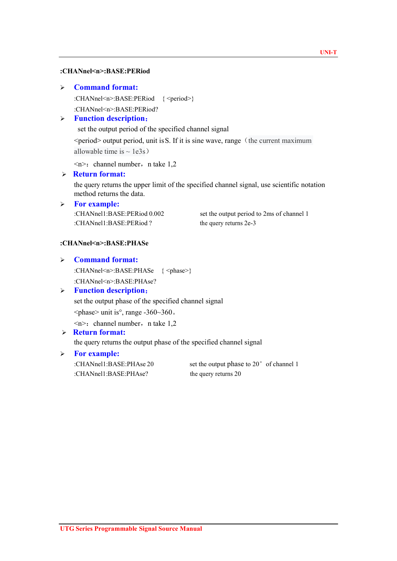#### :CHANnel<n>:BASE:PERiod

# Command format:

:CHANnel<n>:BASE:PERiod { <period>}

:CHANnel<n>:BASE:PERiod?

# > Function description:

set the output period of the specified channel signal

<period> output period, unit is S. If it is sine wave, range(the current maximum allowable time is  $\sim$  1e3s)

 $\langle n \rangle$ : channel number, n take 1,2

# Return format:

the query returns the upper limit of the specified channel signal, use scientific notation method returns the data.

# For example:

| :CHANnel1:BASE:PERiod 0.002 | set the output period to 2ms of channel 1 |
|-----------------------------|-------------------------------------------|
| :CHANnel1:BASE:PERiod?      | the query returns 2e-3                    |

## :CHANnel<n>:BASE:PHASe

|   | <b>Command format:</b>                                           |
|---|------------------------------------------------------------------|
|   | :CHANnel <n>:BASE:PHASe {<phase>}</phase></n>                    |
|   | : $CHANnel \le n > BASE: PHAse?$                                 |
| ⋗ | <b>Function description:</b>                                     |
|   | set the output phase of the specified channel signal             |
|   | $\epsilon$ > phase unit is <sup>o</sup> , range -360 $\sim$ 360. |
|   | $\leq n$ : channel number, n take 1,2                            |
|   | Return format:                                                   |

#### Return format:

the query returns the output phase of the specified channel signal

# $\triangleright$  For example:

:CHANnel1:BASE:PHAse? the query returns 20

:CHANnel1:BASE:PHAse 20 set the output phase to 20° of channel 1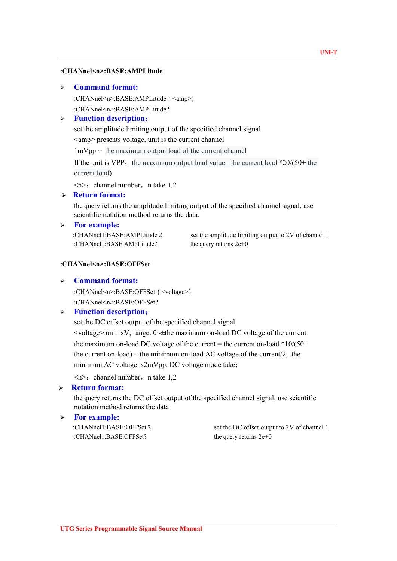#### :CHANnel<n>:BASE:AMPLitude

#### $\triangleright$  Command format:

:CHANnel<n>:BASE:AMPLitude { <amp>}

:CHANnel<n>:BASE:AMPLitude?

## > Function description:

set the amplitude limiting output of the specified channel signal

<amp> presents voltage, unit is the current channel

 $1 \text{mVpp} \sim \text{the maximum output load of the current channel}$ <br>If the unit is VPP, the maximum output load value= the current load \*20/(50+ the current load)

 $\langle n \rangle$ : channel number, n take 1.2

## $\triangleright$  Return format:

the query returns the amplitude limiting output of the specified channel signal, use scientific notation method returns the data.

# > For example:

: $CHANnel1:BASE: AMPLittle?$  the query returns  $2e+0$ 

:CHANnel1:BASE:AMPLitude 2 set the amplitude limiting output to 2V of channel 1

#### :CHANnel<n>:BASE:OFFSet

# Command format:

:CHANnel<n>:BASE:OFFSet { <voltage>}

# :CHANnel<n>:BASE:OFFSet?

# > Function description:

set the DC offset output of the specified channel signal  $\langle$ voltage $\rangle$  unit is V, range: 0 $\sim$ ±the maximum on-load DC voltage of the current the maximum on-load DC voltage of the current = the current on-load  $*10/(50+)$ the current on-load) - the minimum on-load AC voltage of the current/2; the minimum AC voltage is 2mVpp, DC voltage mode take;

 $\leq n$ : channel number, n take 1.2

#### Return format:

the query returns the DC offset output of the specified channel signal, use scientific notation method returns the data.

## $\triangleright$  For example:

:CHANnel1:BASE:OFFSet? the query returns  $2e+0$ 

:CHANnel1:BASE:OFFSet 2 set the DC offset output to 2V of channel 1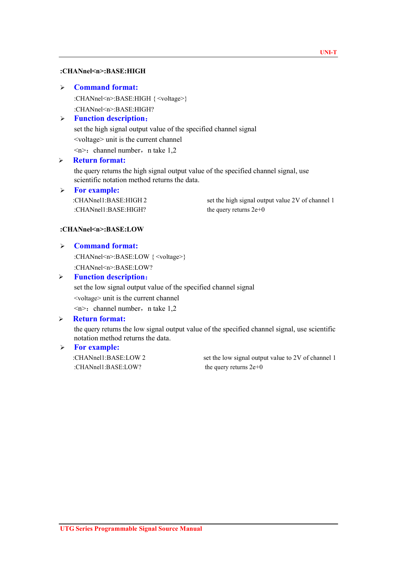#### :CHANnel<n>:BASE:HIGH

#### Command format:

:CHANnel<n>:BASE:HIGH { <voltage>}

:CHANnel<n>:BASE:HIGH?

# > Function description:

set the high signal output value of the specified channel signal

<voltage> unit is the current channel

 $\langle n \rangle$ : channel number, n take 1,2

# Return format:

the query returns the high signal output value of the specified channel signal, use scientific notation method returns the data.

#### $\triangleright$  For example:

: $CHANnel1:BASE: HIGH?$  the query returns  $2e+0$ 

:CHANnel1:BASE:HIGH 2 set the high signal output value 2V of channel 1

#### :CHANnel<n>:BASE:LOW

# $\triangleright$  Command format:

:CHANnel<n>:BASE:LOW { <voltage>}

# :CHANnel<n>:BASE:LOW?

# $\triangleright$  Function description:

set the low signal output value of the specified channel signal <voltage> unit is the current channel

 $\leq n$ : channel number, n take 1,2

# $\triangleright$  Return format:

the query returns the low signal output value of the specified channel signal, use scientific notation method returns the data.

## $\triangleright$  For example:

:CHANnel1:BASE:LOW? the query returns  $2e+0$ 

:CHANnel1:BASE:LOW 2 set the low signal output value to 2V of channel 1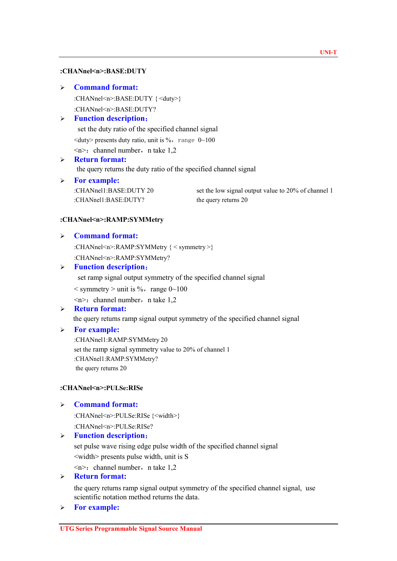#### :CHANnel<n>:BASE:DUTY

#### $\triangleright$  Command format:

:CHANnel<n>:BASE:DUTY { <duty>}

:CHANnel<n>:BASE:DUTY?

# > Function description:

set the duty ratio of the specified channel signal

 $\langle \text{duty} \rangle$  presents duty ratio, unit is %, range 0~100

 $\langle n \rangle$ : channel number, n take 1,2

#### $\triangleright$  Return format:

the query returns the duty ratio of the specified channel signal

#### $\triangleright$  For example:

:CHANnel1:BASE:DUTY 20 set the low signal output value to 20% of channel 1 :CHANnel1:BASE:DUTY? the query returns 20

#### :CHANnel<n>:RAMP:SYMMetry

#### Command format:

:CHANnel<n>:RAMP:SYMMetry { < symmetry >}

:CHANnel<n>:RAMP:SYMMetry?

## > Function description:

set ramp signal output symmetry of the specified channel signal

 $\leq$  symmetry  $>$  unit is %, range 0~100

 $\langle n \rangle$ : channel number, n take 1.2

### Return format:

the query returns ramp signal output symmetry of the specified channel signal

# $\triangleright$  For example:

:CHANnel1:RAMP:SYMMetry 20 set the ramp signal symmetry value to 20% of channel 1 :CHANnel1:RAMP:SYMMetry? the query returns 20

# :CHANnel<n>:PULSe:RISe

## Command format:

:CHANnel<n>:PULSe:RISe {<width>}

:CHANnel<n>:PULSe:RISe?

#### > Function description:

set pulse wave rising edge pulse width of the specified channel signal <width> presents pulse width, unit is S

 $\langle n \rangle$ : channel number, n take 1,2

#### Return format:

the query returns ramp signal output symmetry of the specified channel signal, use scientific notation method returns the data.

> For example: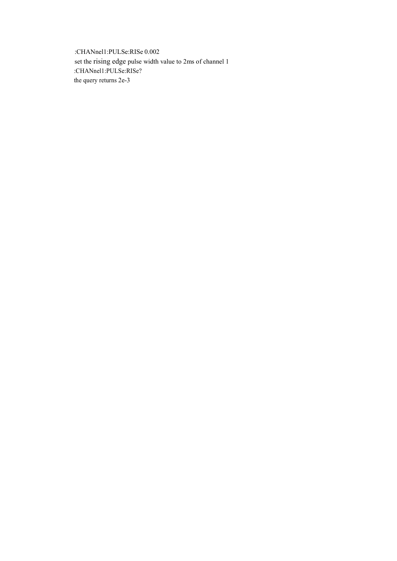:CHANnel1:PULSe:RISe 0.002 set the rising edge pulse width value to 2ms of channel 1 :CHANnel1:PULSe:RISe? the query returns 2e-3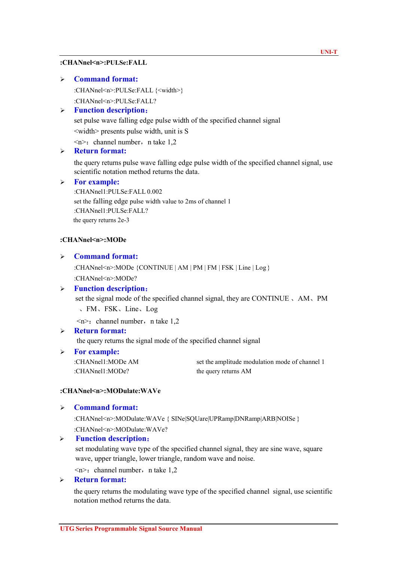#### :CHANnel<n>:PULSe:FALL

## Command format:

:CHANnel<n>:PULSe:FALL {<width>}

:CHANnel<n>:PULSe:FALL?

# > Function description:

set pulse wave falling edge pulse width of the specified channel signal

<width> presents pulse width, unit is S

 $\langle n \rangle$ : channel number, n take 1,2

# $\triangleright$  Return format:

the query returns pulse wave falling edge pulse width of the specified channel signal, use scientific notation method returns the data.

### $\triangleright$  For example:

:CHANnel1:PULSe:FALL 0.002 set the falling edge pulse width value to 2ms of channel 1 :CHANnel1:PULSe:FALL? the query returns 2e-3

# :CHANnel<n>:MODe

#### $\triangleright$  Command format:

:CHANnel<n>:MODe {CONTINUE | AM | PM | FM | FSK | Line | Log }

:CHANnel<n>:MODe?

## > Function description:

set the signal mode of the specified channel signal, they are CONTINUE 、AM、PM

、FM、FSK、Line、Log

 $\langle n \rangle$ : channel number, n take 1,2

## Return format:

the query returns the signal mode of the specified channel signal

#### $\triangleright$  For example:

:CHANnel1:MODe? the query returns AM

:CHANnel1:MODe AM set the amplitude modulation mode of channel 1

# :CHANnel<n>:MODulate:WAVe

#### $\triangleright$  Command format:

:CHANnel<n>:MODulate:WAVe { SINe|SQUare|UPRamp|DNRamp|ARB|NOISe } :CHANnel<n>:MODulate:WAVe?

## > Function description:

set modulating wave type of the specified channel signal, they are sine wave, square wave, upper triangle, lower triangle, random wave and noise.

 $\langle n \rangle$ : channel number, n take 1,2

# Return format:

the query returns the modulating wave type of the specified channel signal, use scientific notation method returns the data.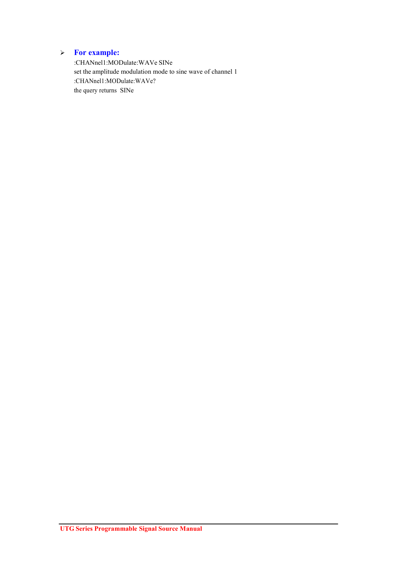# > For example:

:CHANnel1:MODulate:WAVe SINe set the amplitude modulation mode to sine wave of channel 1 :CHANnel1:MODulate:WAVe? the query returns SINe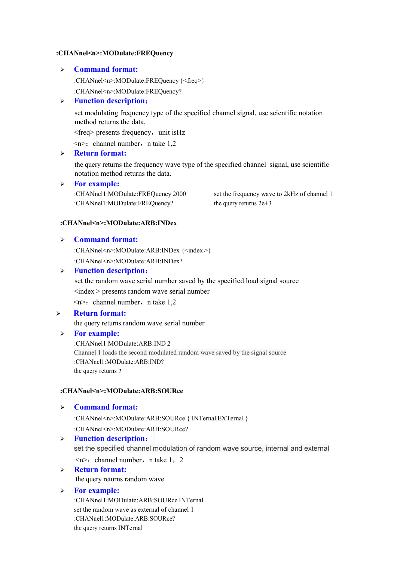#### :CHANnel<n>:MODulate:FREQuency

## $\triangleright$  Command format:

:CHANnel<n>:MODulate:FREQuency {<freq>}

:CHANnel<n>:MODulate:FREQuency?

# > Function description:

set modulating frequency type of the specified channel signal, use scientific notation method returns the data.

 $\langle$  freq $\rangle$  presents frequency, unit is Hz

 $\langle n \rangle$ : channel number, n take 1,2

## Return format:

the query returns the frequency wave type of the specified channel signal, use scientific notation method returns the data.

#### $\triangleright$  For example:

:CHANnel1:MODulate:FREQuency 2000 set the frequency wave to 2kHz of channel 1 :CHANnel1:MODulate:FREQuency? the query returns  $2e+3$ 

#### :CHANnel<n>:MODulate:ARB:INDex

#### $\triangleright$  Command format:

:CHANnel<n>:MODulate:ARB:INDex {<index >} :CHANnel<n>:MODulate:ARB:INDex?

# > Function description:

set the random wave serial number saved by the specified load signal source <index > presents random wave serial number

 $\langle n \rangle$ : channel number, n take 1,2

# $\triangleright$  Return format:

the query returns random wave serial number

## > For example:

:CHANnel1:MODulate:ARB:IND 2 Channel 1 loads the second modulated random wave saved by the signal source :CHANnel1:MODulate:ARB:IND? the query returns 2

#### :CHANnel<n>:MODulate:ARB:SOURce

# Command format:

:CHANnel<n>:MODulate:ARB:SOURce { INTernal|EXTernal } :CHANnel<n>:MODulate:ARB:SOURce?

# > Function description:

set the specified channel modulation of random wave source, internal and external  $\langle n \rangle$ : channel number, n take 1, 2

 $\triangleright$  Return format: the query returns random wave

## $\triangleright$  For example:

:CHANnel1:MODulate:ARB:SOURce INTernal set the random wave as external of channel 1 :CHANnel1:MODulate:ARB:SOURce? the query returns INTernal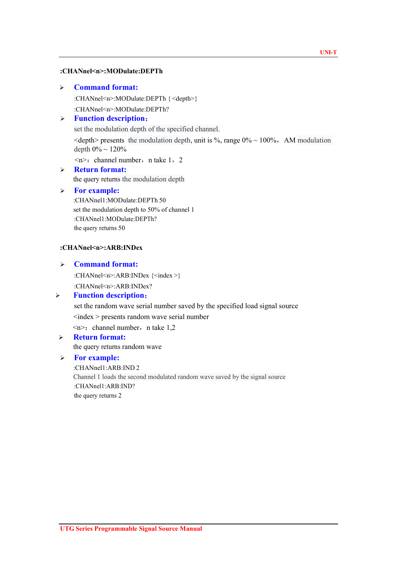#### :CHANnel<n>:MODulate:DEPTh

#### Command format:

:CHANnel<n>:MODulate:DEPTh { <depth>}

:CHANnel<n>:MODulate:DEPTh?

# > Function description:

set the modulation depth of the specified channel.

 $\leq$  depth $\geq$  presents the modulation depth, unit is %, range 0%  $\sim$  100%, AM modulation depth  $0\% \sim 120\%$ 

 $\langle n \rangle$ : channel number, n take 1, 2

# $\triangleright$  Return format:

the query returns the modulation depth

# > For example:

:CHANnel1:MODulate:DEPTh 50 set the modulation depth to 50% of channel 1 :CHANnel1:MODulate:DEPTh? the query returns 50

# :CHANnel<n>:ARB:INDex

#### Command format:

:CHANnel<n>:ARB:INDex {<index >}

:CHANnel<n>:ARB:INDex?

#### > Function description:

set the random wave serial number saved by the specified load signal source

<index > presents random wave serial number

 $\langle n \rangle$ : channel number, n take 1.2

# Return format:

the query returns random wave

## $\triangleright$  For example:

:CHANnel1:ARB:IND 2 Channel 1 loads the second modulated random wave saved by the signal source :CHANnel1:ARB:IND? the query returns 2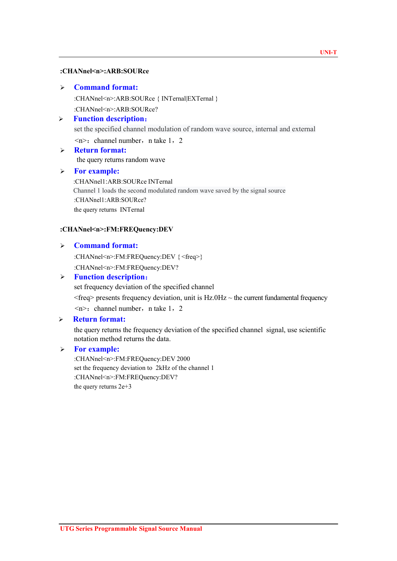#### :CHANnel<n>:ARB:SOURce

## $\triangleright$  Command format:

:CHANnel<n>:ARB:SOURce { INTernal|EXTernal }

:CHANnel<n>:ARB:SOURce?

# > Function description:

set the specified channel modulation of random wave source, internal and external

 $\langle n \rangle$ : channel number, n take 1, 2

# $\triangleright$  Return format: the query returns random wave

#### For example:

:CHANnel1:ARB:SOURce INTernal Channel 1 loads the second modulated random wave saved by the signal source :CHANnel1:ARB:SOURce? the query returns INTernal

## :CHANnel<n>:FM:FREQuency:DEV

# Command format:

:CHANnel<n>:FM:FREQuency:DEV { <freq>}

:CHANnel<n>:FM:FREQuency:DEV?

# > Function description:

set frequency deviation of the specified channel

 $\langle$ freq $>$  presents frequency deviation, unit is Hz.0Hz  $\sim$  the current fundamental frequency

 $\langle n \rangle$ : channel number, n take 1, 2

# Return format:

the query returns the frequency deviation of the specified channel signal, use scientific notation method returns the data.

## $\triangleright$  For example:

:CHANnel<n>:FM:FREQuency:DEV 2000 set the frequency deviation to 2kHz of the channel 1 :CHANnel<n>:FM:FREQuency:DEV? the query returns 2e+3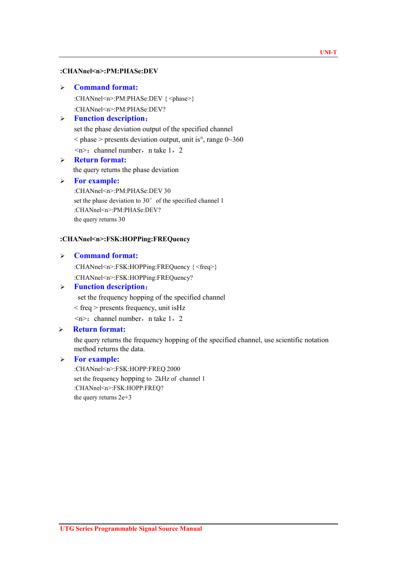#### :CHANnel<n>:PM:PHASe:DEV

#### $\triangleright$  Command format:

:CHANnel<n>:PM:PHASe:DEV { <phase>} :CHANnel<n>:PM:PHASe:DEV?

# > Function description:

set the phase deviation output of the specified channel  $\epsilon$  phase > presents deviation output, unit is<sup>o</sup>, range 0~360  $\leq n \geq$ : channel number, n take 1, 2

# $\triangleright$  Return format:

the query returns the phase deviation

#### $\triangleright$  For example:

:CHANnel<n>:PM:PHASe:DEV 30 set the phase deviation to 30° of the specified channel 1 :CHANnel<n>:PM:PHASe:DEV? the query returns 30

## :CHANnel<n>:FSK:HOPPing:FREQuency

## $\triangleright$  Command format:

:CHANnel<n>:FSK:HOPPing:FREQuency { <freq>} :CHANnel<n>:FSK:HOPPing:FREQuency?

# Function description:

set the frequency hopping of the specified channel

 $\langle$  freq  $>$  presents frequency, unit is Hz

 $\langle n \rangle$ : channel number, n take 1, 2

# $\triangleright$  Return format:

the query returns the frequency hopping of the specified channel, use scientific notation method returns the data.

#### $\triangleright$  For example:

:CHANnel<n>:FSK:HOPP:FREQ 2000 set the frequency hopping to 2kHz of channel 1 :CHANnel<n>:FSK:HOPP:FREQ? the query returns 2e+3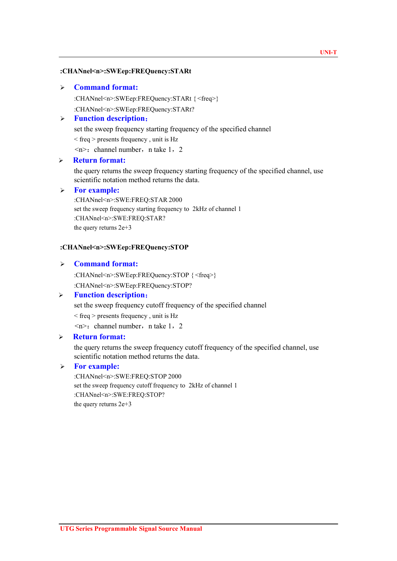#### :CHANnel<n>:SWEep:FREQuency:STARt

#### Command format:

:CHANnel<n>:SWEep:FREQuency:STARt { <freq>}

:CHANnel<n>:SWEep:FREQuency:STARt?

## > Function description:

set the sweep frequency starting frequency of the specified channel

 $\langle$  freq  $>$  presents frequency, unit is Hz

 $\langle n \rangle$ : channel number, n take 1, 2

# Return format:

the query returns the sweep frequency starting frequency of the specified channel, use scientific notation method returns the data.

# > For example:

:CHANnel<n>:SWE:FREQ:STAR 2000 set the sweep frequency starting frequency to 2kHz of channel 1 :CHANnel<n>:SWE:FREQ:STAR? the query returns 2e+3

## :CHANnel<n>:SWEep:FREQuency:STOP

#### Command format:

:CHANnel<n>:SWEep:FREQuency:STOP { <freq>} :CHANnel<n>:SWEep:FREQuency:STOP?

# > Function description:

set the sweep frequency cutoff frequency of the specified channel

< freq > presents frequency , unit is Hz

 $\leq n$ : channel number, n take 1, 2

# Return format:

the query returns the sweep frequency cutoff frequency of the specified channel, use scientific notation method returns the data.

## For example:

:CHANnel<n>:SWE:FREQ:STOP 2000 set the sweep frequency cutoff frequency to 2kHz of channel 1 :CHANnel<n>:SWE:FREQ:STOP? the query returns 2e+3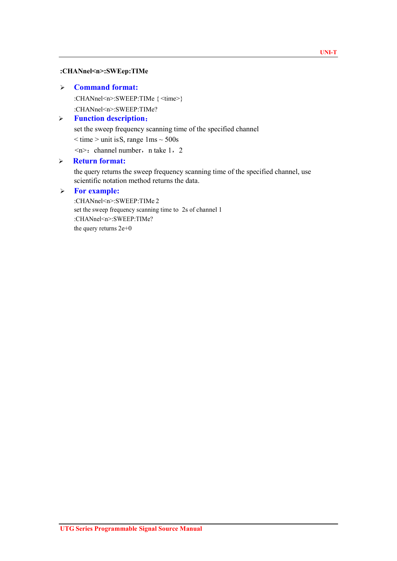#### :CHANnel<n>:SWEep:TIMe

# Command format:

:CHANnel<n>:SWEEP:TIMe { <time>}

:CHANnel<n>:SWEEP:TIMe?

# > Function description:

set the sweep frequency scanning time of the specified channel

 $\langle$  time  $>$  unit is S, range 1 ms  $\sim$  500s

 $\langle n \rangle$ : channel number, n take 1, 2

# Return format:

the query returns the sweep frequency scanning time of the specified channel, use scientific notation method returns the data.

# $\triangleright$  For example:

:CHANnel<n>:SWEEP:TIMe 2 set the sweep frequency scanning time to 2s of channel 1 :CHANnel<n>:SWEEP:TIMe? the query returns 2e+0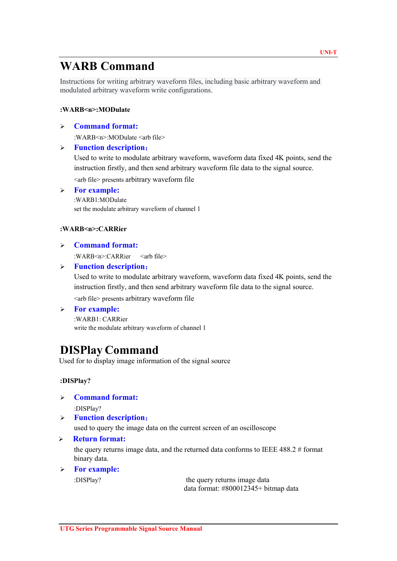# WARB Command

Instructions for writing arbitrary waveform files, including basic arbitrary waveform and modulated arbitrary waveform write configurations.

# :WARB<n>:MODulate

Command format:

:WARB<n>:MODulate <arb file>

# > Function description:

Used to write to modulate arbitrary waveform, waveform data fixed 4K points, send the instruction firstly, and then send arbitrary waveform file data to the signal source.

<arb file> presents arbitrary waveform file

## For example:

:WARB1:MODulate set the modulate arbitrary waveform of channel 1

# :WARB<n>:CARRier

 Command format: :WARB<n>:CARRier <arb file>

# > Function description:

Used to write to modulate arbitrary waveform, waveform data fixed 4K points, send the instruction firstly, and then send arbitrary waveform file data to the signal source.

<arb file> presents arbitrary waveform file

# > For example:

:WARB1: CARRier write the modulate arbitrary waveform of channel 1

# DISPlay Command

Used for to display image information of the signal source

# :DISPlay?

Command format:

:DISPlay?

> Function description:

used to query the image data on the current screen of an oscilloscope

# Return format:

the query returns image data, and the returned data conforms to IEEE 488.2 # format binary data.

> For example:

:DISPlay? the query returns image data data format: #800012345+ bitmap data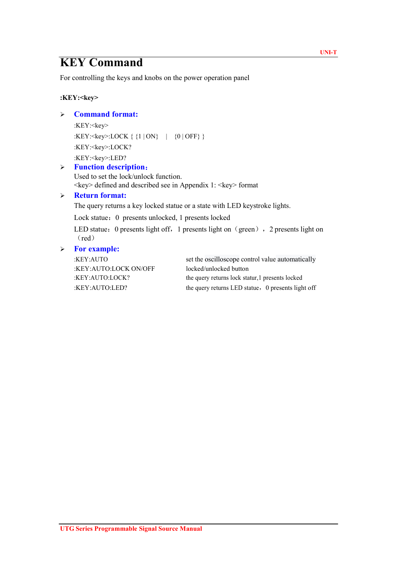# KEY Command

For controlling the keys and knobs on the power operation panel

# :KEY:<key>

# Command format:

:KEY:<key>

:KEY:  $\{key\}$ :LOCK  $\{1 | ON\}$  |  $\{0 | OFF\}$ } :KEY:<key>:LOCK?

:KEY:<key>:LED?

# > Function description:

Used to set the lock/unlock function. <key> defined and described see in Appendix 1: <key> format

# Return format:

The query returns a key locked statue or a state with LED keystroke lights.

Lock statue: 0 presents unlocked, 1 presents locked

LED statue: 0 presents light off, 1 presents light on (green), 2 presents light on (red)

# $\triangleright$  For example:

:KEY:AUTO set the oscilloscope control value automatically :KEY:AUTO:LOCK ON/OFF locked/unlocked button :KEY:AUTO:LOCK? the query returns lock statur,1 presents locked :KEY:AUTO:LED? the query returns LED statue, 0 presents light off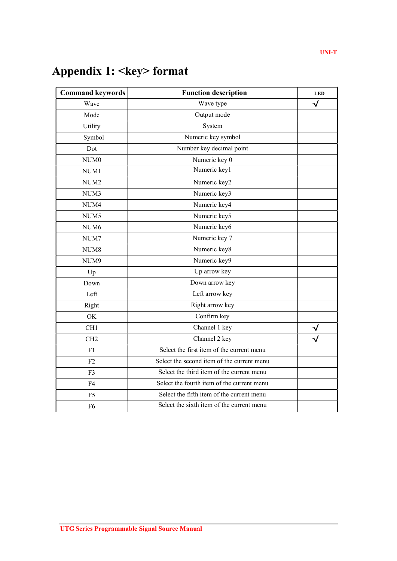# Appendix 1: < key > format

| <b>Command keywords</b> | <b>Function description</b>                | LED                     |  |
|-------------------------|--------------------------------------------|-------------------------|--|
| Wave                    | Wave type                                  | $\checkmark$            |  |
| Mode                    | Output mode                                |                         |  |
| Utility                 | System                                     |                         |  |
| Symbol                  | Numeric key symbol                         |                         |  |
| Dot                     | Number key decimal point                   |                         |  |
| NUM <sub>0</sub>        | Numeric key 0                              |                         |  |
| NUM1                    | Numeric key1                               |                         |  |
| NUM <sub>2</sub>        | Numeric key2                               |                         |  |
| NUM3                    | Numeric key3                               |                         |  |
| NUM4                    | Numeric key4                               |                         |  |
| NUM <sub>5</sub>        | Numeric key5                               |                         |  |
| NUM <sub>6</sub>        | Numeric key6                               |                         |  |
| NUM7                    | Numeric key 7                              |                         |  |
| NUM8                    | Numeric key8                               |                         |  |
| NUM9                    | Numeric key9                               |                         |  |
| Up                      | Up arrow key                               |                         |  |
| Down                    | Down arrow key                             |                         |  |
| Left                    | Left arrow key                             |                         |  |
| Right                   | Right arrow key                            |                         |  |
| OK                      | Confirm key                                |                         |  |
| CH <sub>1</sub>         | Channel 1 key                              | $\checkmark$            |  |
| CH2                     | Channel 2 key                              | $\overline{\checkmark}$ |  |
| F1                      | Select the first item of the current menu  |                         |  |
| F2                      | Select the second item of the current menu |                         |  |
| F <sub>3</sub>          | Select the third item of the current menu  |                         |  |
| F4                      | Select the fourth item of the current menu |                         |  |
| F <sub>5</sub>          | Select the fifth item of the current menu  |                         |  |
| F <sub>6</sub>          | Select the sixth item of the current menu  |                         |  |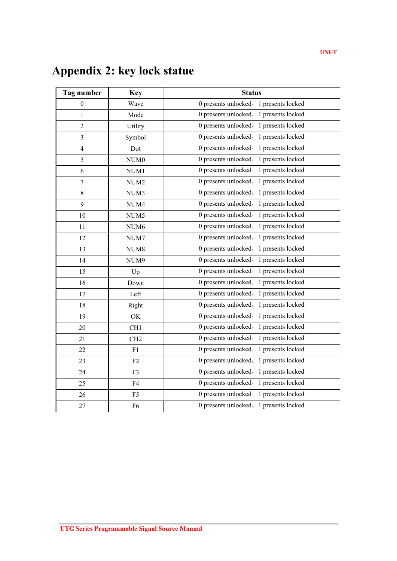# Appendix 2: key lock statue

| Tag number       | <b>Key</b>       | <b>Status</b>                          |
|------------------|------------------|----------------------------------------|
| $\boldsymbol{0}$ | Wave             | 0 presents unlocked, 1 presents locked |
| 1                | Mode             | 0 presents unlocked, 1 presents locked |
| $\overline{2}$   | Utility          | 0 presents unlocked, 1 presents locked |
| 3                | Symbol           | 0 presents unlocked, 1 presents locked |
| $\overline{4}$   | Dot              | 0 presents unlocked, 1 presents locked |
| 5                | NUM <sub>0</sub> | 0 presents unlocked, 1 presents locked |
| 6                | NUM1             | 0 presents unlocked, 1 presents locked |
| $\overline{7}$   | NUM <sub>2</sub> | 0 presents unlocked, 1 presents locked |
| 8                | NUM3             | 0 presents unlocked, 1 presents locked |
| 9                | NUM4             | 0 presents unlocked, 1 presents locked |
| 10               | NUM <sub>5</sub> | 0 presents unlocked, 1 presents locked |
| 11               | NUM <sub>6</sub> | 0 presents unlocked, 1 presents locked |
| 12               | NUM7             | 0 presents unlocked, 1 presents locked |
| 13               | NUM8             | 0 presents unlocked, 1 presents locked |
| 14               | NUM9             | 0 presents unlocked, 1 presents locked |
| 15               | Up               | 0 presents unlocked, 1 presents locked |
| 16               | Down             | 0 presents unlocked, 1 presents locked |
| 17               | Left             | 0 presents unlocked, 1 presents locked |
| 18               | Right            | 0 presents unlocked, 1 presents locked |
| 19               | OK               | 0 presents unlocked, 1 presents locked |
| 20               | CH <sub>1</sub>  | 0 presents unlocked, 1 presents locked |
| 21               | CH2              | 0 presents unlocked, 1 presents locked |
| 22               | F1               | 0 presents unlocked, 1 presents locked |
| 23               | F2               | 0 presents unlocked, 1 presents locked |
| 24               | F <sub>3</sub>   | 0 presents unlocked, 1 presents locked |
| 25               | F4               | 0 presents unlocked, 1 presents locked |
| 26               | F <sub>5</sub>   | 0 presents unlocked, 1 presents locked |
| 27               | F <sub>6</sub>   | 0 presents unlocked, 1 presents locked |